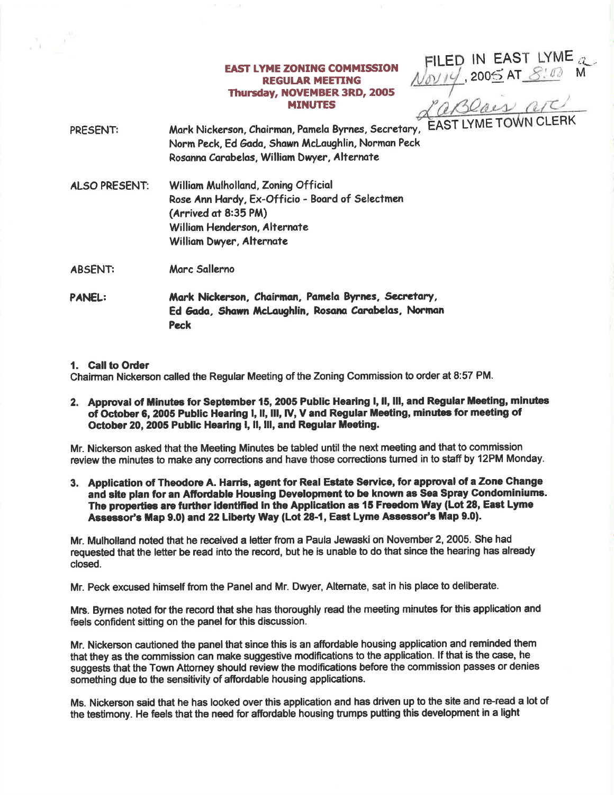# **EAST LYME ZONING COMMISSION REGULAR MEETING** Thursday, NOVEMBER 3RD, 2005 **MINUTES**

FILED IN EAST LYME<br>
Novit 2005 AT 8:00 M<br>
CaBOais are

Mark Nickerson, Chairman, Pamela Byrnes, Secretary, PRESENT: Norm Peck, Ed Gada, Shawn McLaughlin, Norman Peck Rosanna Carabelas, William Dwyer, Alternate

William Mulholland, Zoning Official **ALSO PRESENT:** Rose Ann Hardy, Ex-Officio - Board of Selectmen (Arrived at 8:35 PM) William Henderson, Alternate William Dwyer, Alternate

Marc Sallerno **ABSENT:** 

**PANEL:** Mark Nickerson, Chairman, Pamela Byrnes, Secretary, Ed Gada, Shawn McLaughlin, Rosana Carabelas, Norman **Peck** 

# 1. Call to Order

Chairman Nickerson called the Regular Meeting of the Zoning Commission to order at 8:57 PM.

2. Approval of Minutes for September 15, 2005 Public Hearing I, II, III, and Regular Meeting, minutes of October 6, 2005 Public Hearing I, II, III, IV, V and Regular Meeting, minutes for meeting of October 20, 2005 Public Hearing I, II, III, and Regular Meeting.

Mr. Nickerson asked that the Meeting Minutes be tabled until the next meeting and that to commission review the minutes to make any corrections and have those corrections turned in to staff by 12PM Monday.

3. Application of Theodore A. Harris, agent for Real Estate Service, for approval of a Zone Change and site plan for an Affordable Housing Development to be known as Sea Spray Condominiums. The properties are further identified in the Application as 15 Freedom Way (Lot 28, East Lyme Assessor's Map 9.0) and 22 Liberty Way (Lot 28-1, East Lyme Assessor's Map 9.0).

Mr. Mulholland noted that he received a letter from a Paula Jewaski on November 2, 2005. She had requested that the letter be read into the record, but he is unable to do that since the hearing has already closed.

Mr. Peck excused himself from the Panel and Mr. Dwyer, Alternate, sat in his place to deliberate.

Mrs. Byrnes noted for the record that she has thoroughly read the meeting minutes for this application and feels confident sitting on the panel for this discussion.

Mr. Nickerson cautioned the panel that since this is an affordable housing application and reminded them that they as the commission can make suggestive modifications to the application. If that is the case, he suggests that the Town Attorney should review the modifications before the commission passes or denies something due to the sensitivity of affordable housing applications.

Ms. Nickerson said that he has looked over this application and has driven up to the site and re-read a lot of the testimony. He feels that the need for affordable housing trumps putting this development in a light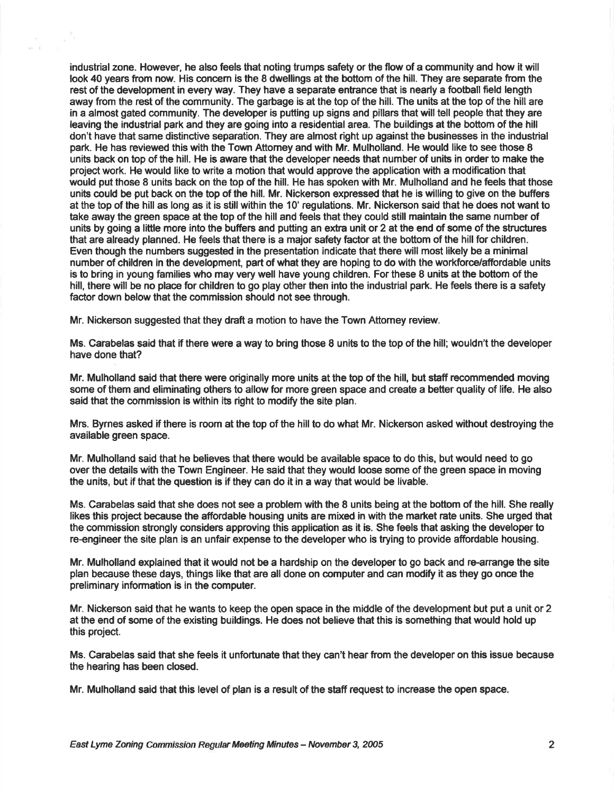industrial zone. However, he also feels that noting trumps safety or the flow of a community and how it will look 40 years from now. His concem is the 8 dwellings at the bottom of the hill. They are separate from the rest of the development in every way. They have a separate entrance that is nearly a football field length away from the rest of the community. The garbage is at the top of the hill. The units at the top of the hill are in a almost gated community. The developer is putting up signs and pillars that will tell people that they are leaving the industrial park and they are going into a residentialarea. The buildings at the bottom of the hill don't have that same distinctive separation. They are almost right up against the businesses in the industrial park. He has reviewed this with the Town Attorney and with Mr. Mulholland. He would like to see those 8 units back on top of the hill. He is aware that the developer needs that number of units in order to make the projectwork. He would like to write a motion that would approve the application with a modification that would put those 8 units back on the top of the hill. He has spoken with Mr. Mulholland and he feels that those units could be put back on the top of the hill. Mr. Nickerson expressed that he is willing to give on the buffers at the top of the hill as long as it is still within the 10' regulations. Mr. Nickerson said that he does not want to take away the green space at the top of the hill and feels that they could still maintain the same number of units by going a little more into the buffers and putting an extra unit or 2 at the end of some of the structures that are already planned. He feels that there is a major safety factor at the bottom of the hill for children. Even though the numbers suggested in the presentation indicate that there will most likely be a minimal number of children in the development, part of what they are hoping to do with the workforce/affordable units is to bring in young families who may very well have young children. For these 8 units at the bottom of the hill, there will be no place for children to go play other then into the industrial park. He feels there is a safety factor down below that the commission should not see through.

Mr. Nickerson suggested that they draft a motion to have the Town Attorney review.

Ms. Carabelas said that ffthere were a way to bring those 8 units to the top of the hill; wouldn't the developer have done that?

Mr. Mulholland said that there were originally more units at the top of the hill, but staff recommended moving some of them and eliminating others to allow for more green space and create a better quality of life. He also said that the commission is within its right to modify the site plan.

Mrs. Byrnes asked if there is room at the top of the hill to do what Mr. Nickerson asked without destroying the available green space.

Mr. Mulholland said that he believes that there would be available space to do this, but would need to go over the details with the Town Engineer. He said that they would loose some of the green space in moving the units, but if that the question is if they can do it in a way that would be livable.

Ms. Carabelas said that she does not see a problem with the 8 units being at the bottom of the hill. She really likes this project because the affordable housing units are mixed in with the market rate units. She urged that the commission strongly considers approving this application as it is. She feels that asking the developer to re-engineer the site plan is an unfair expense to the developer who is trying to provide affordable housing.

Mr. Mulholland explained that it would not be a hardship on the developer to go back and re-anange the site plan because these days, things like that are all done on computer and can modify it as they go once the preliminary information is in the computer.

Mr. Nickerson said that he wants to keep the open space in the middle of the development but put a unit or 2 at the end of some of the existing buildings. He does not believe that this is something that would hold up this project.

Ms. Carabelas said that she feels it unfortunate that they can't hear from the developer on this issue because the hearing has been closed.

Mr. Mulholland said that this level of plan is a result of the staff request to increase the open space.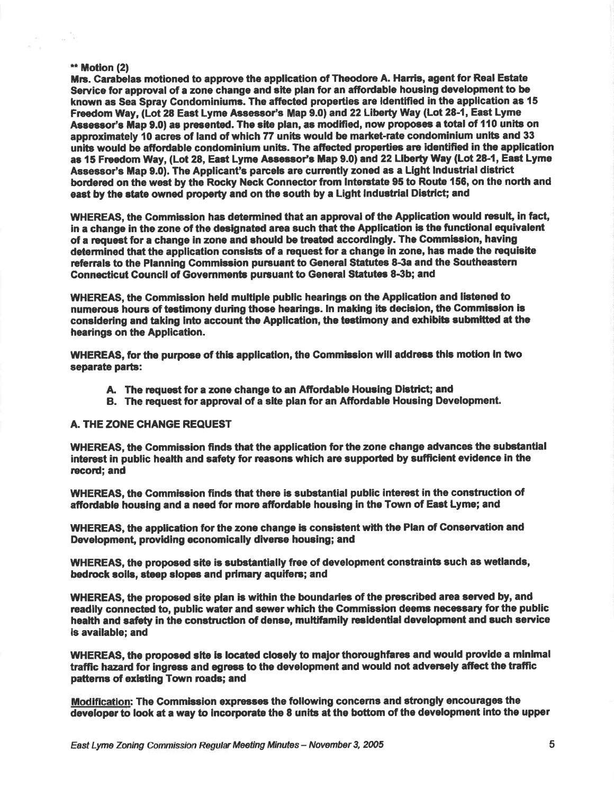#### \*\* Motion (2)

- 10

Mrs. Carabelas motioned to approve the application of Theodore A. Harris, agent for Real Estate Service for approval of a zone change and site plan for an affordable housing development to be known as Sea Spray Condominiums. The affected properties are identified in the application as 15 Freedom Way, (Lot 28 East Lyme Assessor's Map 9.0) and 22 Liberty Way (Lot 28-1, East Lyme Assessor's Map 9.0) as presented. The site plan, as modified, now proposes a total of 110 units on approximately 10 acres of land of which 77 units would be market-rate condominium units and 33 units would be affordable condominium units. The affected properties are identified in the application as 15 Freedom Way, (Lot 28, East Lyme Assessor's Map 9.0) and 22 Liberty Way (Lot 28-1, East Lyme Assessor's Map 9.0). The Applicant's parcels are currently zoned as a Light industrial district bordered on the west by the Rocky Neck Connector from Interstate 95 to Route 156, on the north and east by the state owned property and on the south by a Light industrial District: and

WHEREAS, the Commission has determined that an approval of the Application would result, in fact, in a change in the zone of the designated area such that the Application is the functional equivalent of a request for a change in zone and should be treated accordingly. The Commission, having determined that the application consists of a request for a change in zone, has made the requisite referrals to the Planning Commission pursuant to General Statutes 8-3a and the Southeastern Connecticut Council of Governments pursuant to General Statutes 8-3b; and

WHEREAS, the Commission held multiple public hearings on the Application and listened to numerous hours of testimony during those hearings. In making its decision, the Commission is considering and taking into account the Application, the testimony and exhibits submitted at the hearings on the Application.

WHEREAS, for the purpose of this application, the Commission will address this motion in two separate parts:

- A. The request for a zone change to an Affordable Housing District; and
- B. The request for approval of a site plan for an Affordable Housing Development.

#### A. THE ZONE CHANGE REQUEST

WHEREAS, the Commission finds that the application for the zone change advances the substantial interest in public health and safety for reasons which are supported by sufficient evidence in the record; and

WHEREAS, the Commission finds that there is substantial public interest in the construction of affordable housing and a need for more affordable housing in the Town of East Lyme; and

WHEREAS, the application for the zone change is consistent with the Plan of Conservation and Development, providing economically diverse housing; and

WHEREAS, the proposed site is substantially free of development constraints such as wetlands, bedrock soils, steep slopes and primary aquifers; and

WHEREAS, the proposed site plan is within the boundaries of the prescribed area served by, and readily connected to, public water and sewer which the Commission deems necessary for the public health and safety in the construction of dense, multifamily residential development and such service is available; and

WHEREAS, the proposed site is located closely to major thoroughfares and would provide a minimal traffic hazard for ingress and egress to the development and would not adversely affect the traffic patterns of existing Town roads; and

Modification: The Commission expresses the following concerns and strongly encourages the developer to look at a way to incorporate the 8 units at the bottom of the development into the upper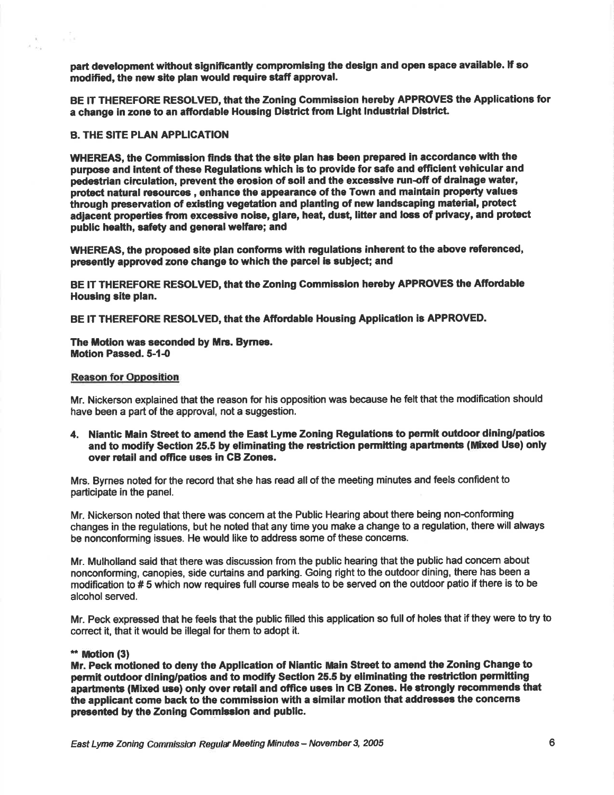part development without significantly compromising the design and open space available. If so modified, the new site plan would require staff approval.

BE IT THEREFORE RESOLVED, that the Zoning Commission hereby APPROVES the Applications for a change in zone to an affordable Housing District from Light Industrial District.

# **B. THE SITE PLAN APPLICATION**

n S

 $\mathcal{L}$ 

WHEREAS, the Commission finds that the site plan has been prepared in accordance with the purpose and intent of these Regulations which is to provide for safe and efficient vehicular and pedestrian circulation, prevent the erosion of soil and the excessive run-off of drainage water, protect natural resources, enhance the appearance of the Town and maintain property values through preservation of existing vegetation and planting of new landscaping material, protect adjacent properties from excessive noise, glare, heat, dust, litter and loss of privacy, and protect public health, safety and general welfare; and

WHEREAS, the proposed site plan conforms with regulations inherent to the above referenced, presently approved zone change to which the parcel is subject; and

BE IT THEREFORE RESOLVED, that the Zoning Commission hereby APPROVES the Affordable Housing site plan.

BE IT THEREFORE RESOLVED, that the Affordable Housing Application is APPROVED.

# The Motion was seconded by Mrs. Byrnes. **Motion Passed, 5-1-0**

# **Reason for Opposition**

Mr. Nickerson explained that the reason for his opposition was because he felt that the modification should have been a part of the approval, not a suggestion.

4. Niantic Main Street to amend the East Lyme Zoning Regulations to permit outdoor dining/patios and to modify Section 25.5 by eliminating the restriction permitting apartments (Mixed Use) only over retail and office uses in CB Zones.

Mrs. Byrnes noted for the record that she has read all of the meeting minutes and feels confident to participate in the panel.

Mr. Nickerson noted that there was concern at the Public Hearing about there being non-conforming changes in the regulations, but he noted that any time you make a change to a regulation, there will always be nonconforming issues. He would like to address some of these concerns.

Mr. Mulholland said that there was discussion from the public hearing that the public had concern about nonconforming, canopies, side curtains and parking. Going right to the outdoor dining, there has been a modification to #5 which now requires full course meals to be served on the outdoor patio if there is to be alcohol served.

Mr. Peck expressed that he feels that the public filled this application so full of holes that if they were to try to correct it, that it would be illegal for them to adopt it.

#### \*\* Motion (3)

Mr. Peck motioned to deny the Application of Niantic Main Street to amend the Zoning Change to permit outdoor dining/patios and to modify Section 25.5 by eliminating the restriction permitting apartments (Mixed use) only over retail and office uses in CB Zones. He strongly recommends that the applicant come back to the commission with a similar motion that addresses the concerns presented by the Zoning Commission and public.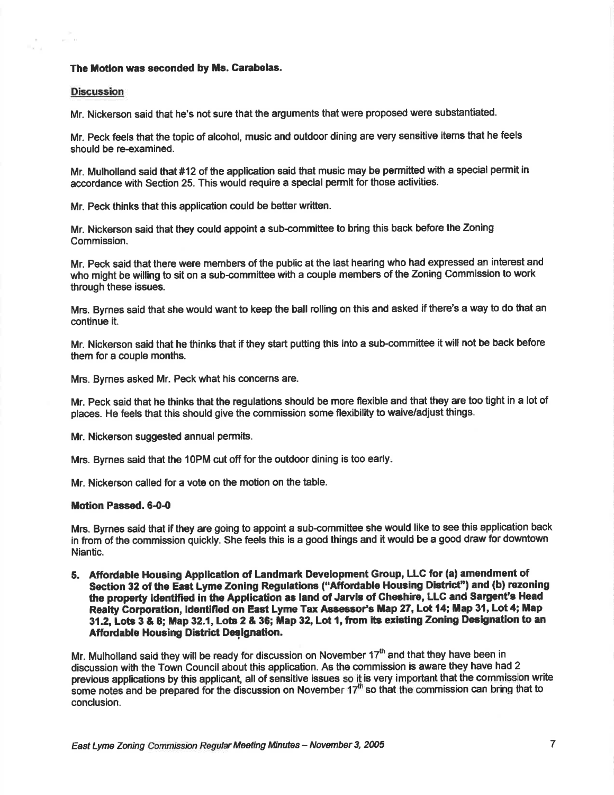# The Motion was seconded by Ms. Carabelas.

#### Discussion

 $\mu\tau_{\rm{min}}=0.1$ 

Mr. Nickerson said that he's not sure that the arguments that were proposed were substantiated.

Mr. Peck feels that the topic of alcohol, music and outdoor dining are very sensitive items that he feels should be re-examined.

Mr. Mulholland said that #12 of the application said that music may be permitted with a special permit in accordance with Section 25. This would require a special permit for those activities.

Mr. Peck thinks that this application could be better written.

Mr. Nickerson said that they could appoint a sub-committee to bring this back before the Zoning Commission.

Mr. Peck said that there were members of the public at the last hearing who had expressed an interest and who might be willing to sit on a sub-committee with a couple members of the Zoning Commission to work through these issues.

Mrs. Byrnes said that she would want to keep the ball rolling on this and asked if there's a way to do that an continue it.

Mr. Nickerson said that he thinks that if they start putting this into a sub-committee it will not be back before them for a couple months.

Mrs. Byrnes asked Mr. Peck what his concerns are.

Mr. Peck said that he thinks that the regulations should be more flexible and that they are too tight in a lot of places. He feels that this should give the commission some flexibility to waive/adjust things.

Mr. Nickerson suggested annual permits.

Mrs. Byrnes said that the 1OPM cut off for the outdoor dining is too early

Mr. Nickerson called for a vote on the motion on the table.

#### Motion Passed. 6-0-0

Mrs. Byrnes said that if they are going to appoint a sub-committee she would like to see this application back in from of the commission quickly. She feets this is a good things and it would be a good draw for downtown Niantic.

5. Affodable Housing Application of Landmark Development Group, LLG for (a) amendment of Section 32 of the East Lyme Zoning Regulations ("Affordable Housing District") and (b) rezoning the prcperty identlfted in the Applicatlon as land of Jarvis of Gheehire, LLC and Saryent's Head Realty Corporation, identified on East Lyme Tax Assessor's Map 27, Lot 14; Map 31, Lot 4; Map 31.2, Lots 3 & 8; Map 32.1, Lots 2 & 36; Map 32, Lot 1, from its existing Zoning Designation to an Affordable Housing District Designation.

Mr. Mulholland said they will be ready for discussion on November  $17<sup>th</sup>$  and that they have been in discussion with the Town Council about this application. As the commission is aware they have had 2 previous applications by thie applicant, all of sensitive issues so it is very important that the commission write some notes and be prepared for the discussion on November 17 $^{\rm m}$  so that the commission can bring that to conclusion.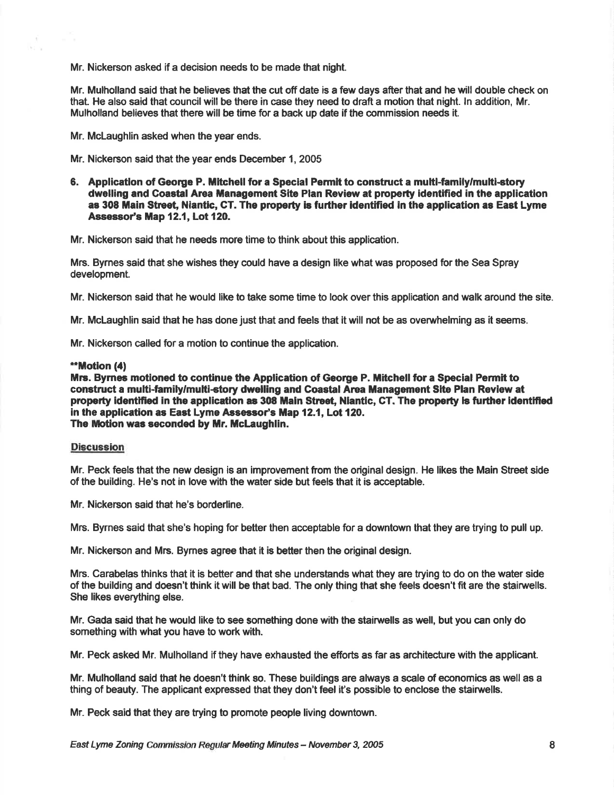Mr. Nickerson asked if a decision needs to be made that night.

Mr. Mulholland said that he believes that the cut off date is a few days after that and he will double check on that. He also said that council will be there in case they need to draft a motion that night. In addition, Mr. Mulholland believes that there will be time for a back up date if the commission needs it.

Mr. Mclaughlin asked when the year ends.

Mr. Nickerson said that the year ends December 1, 2005

6. Application of George P. Mitchell for a Special Permit to construct a multi-family/multi-story dwelling and Coastal Area Management Site Plan Review at property identified in the application as 308 Main Street, Niantic, CT. The property is further identified in the application as East Lyme Assessor's Map 12.1, Lot 120.

Mr. Nickerson said that he needs more time to think about this application.

Mrc. Bymes said that she wishes they could have a design like what was proposed for the Sea Spray development.

Mr. Nickerson said that he would like to take some time to look over this application and walk around the site.

Mr. McLaughlin said that he has done just that and feels that it will not be as overwhelming as it seems.

Mr. Nickerson called for a motion to continue the application.

#### \*\*Motion (4)

 $\mathcal{C}$ 

Mrs. Byrnes motioned to continue the Application of George P. Mitchell for a Special Permit to construct a multi-family/multi-story dwelling and Coastal Area Management Site Plan Review at property identified in the application as 308 Main Street, Niantic, CT. The property is further identified in the application as East Lyme Assessor's Map 12.1, Lot 120. The Motion was seconded by Mr. McLaughlin.

# Discussion

Mr. Peck feels that the new design is an improvement from the original design. He likes the Main Street side of the building. He's not in love with the water side but feels that it is acceptable.

Mr. Nickerson said that he's borderline.

Mrs. Byrnes said that she's hoping for better then acceptable for a downtown that they are trying to pull up.

Mr. Nickerson and Mrs. Byrnes agree that it is better then the original design.

Mrs. Carabelas thinks that it is better and that she understands what they are trying to do on the water side of the building and doesn't think it will be that bad. The only thing that she feels doesn't fit are the stairwells. She likes everything else.

Mr. Gada said that he would like to see something done with the stairwells as well, but you can only do something with what you have to work with.

Mr. Peck asked Mr. Mulholland if they have exhausted the efforts as far as architecture with the applicant.

Mr. Mulholland said that he doegn't think so. These buildings are always a scale of economics as well as a thing of beauty. The applicant expressed that they don't feel it's possible to enclose the stainrells.

Mr. Peck said that they are trying to promote people living downtown.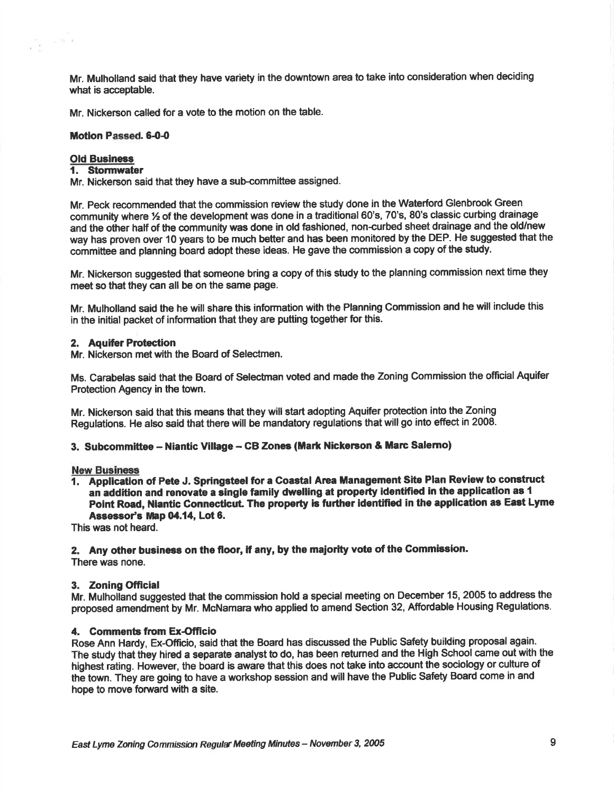Mr. Mulholland said that they have variety in the downtown area to take into consideration when deciding what is acceptable.

Mr. Nickerson called for a vote to the motion on the table.

#### Motion Passed. 6-0-0

# Old Business<br>1. Stormwater

 $\sim 18-3$ 

y R

Mr. Nickerson said that they have a sub-committee assigned.

Mr. Peck recommended that the commission review the study done in the Waterford Glenbrook Green community where  $\frac{1}{2}$  of the development was done in a traditional 60's, 70's, 80's classic curbing drainage and the other half of the community was done in old fashioned, non-curbed sheet drainage and the old/new way has proven over 10 years to be much better and has been monitored by the DEP. He suggested that the committee and planning board adopt these ideas. He gave the commission a copy of the study.

Mr. Nickerson suggested that someone bring a copy of this study to the planning commission next time they meet so that they can all be on the same page.

Mr. Mulholland said the he will share this information with the Planning Commission and he will include this in the initial packet of information that they are putting together for this.

# 2. Aquifer Protection

Mr. Nickerson met with the Board of Selectmen.

Ms. Carabelas said that the Board of Selectman voted and made the Zoning Commission the official Aquifer Protection Agency in the town.

Mr. Nickerson said that this means that they will start adopting Aquifer protection into the Zoning Regulations. He also said that there will be mandatory regulations that will go into effect in 2008.

#### 3. Subcommittee – Niantic Village – CB Zones (Mark Nickerson & Marc Salerno)

#### **New Business**

1. Application of Pete J. Springsteel for a Coastal Area Management Site Plan Review to construct an addition and renovate a single family dwelling at property identified in the application as 1 Point Road, Niantic Connecticut. The property is further identified in the application as East Lyme Assessor's Map 04.14, Lot 6.

This was not heard.

2. Any other business on the floor, if any, by the majority vote of the Commission. There was none.

#### 3. Zoning Official

Mr. Mulholiand suggested that the commission hold a special meeting on December 15, 2005 to address the proposed amendment by Mr. McNamara who applied to amend Section 32, Affordable Housing Regulations.

#### 4. Comments from Ex-Officio

Rose Ann Hardy, Ex-Officio, said that the Board has discussed the Public Safety building proposal again. The study that they hired a separate analyst to do, has been retumed and the High School came out with the highest rating. However, the board is aware that this does not take into account the sociology or culture of the town. They are going to have a workshop session and will have the Public Safety Board come in and hope to move forward with a site.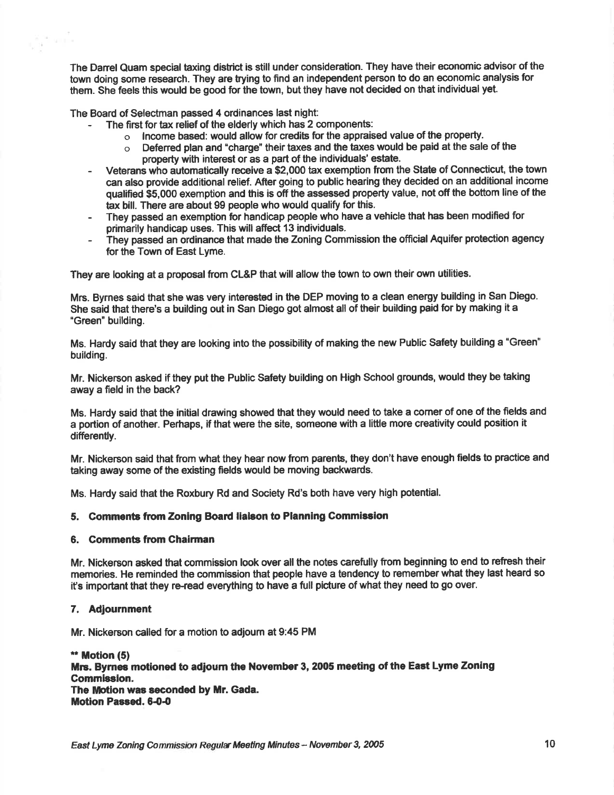The Danel Quam special taxing district is still under consideration. They have their economic advisor of the town doing some research. They are trying to find an independent person to do an economic analysis for them. She feels this would be good for the town, but they have not decided on that individual yet.

The Board of Selectman passed 4 ordinances last night:

general.<br>Nati

- The first for tax relief of the elderly which has 2 components:<br>o lncome based: would allow for credits for the apprais
	- o lncome based: would allow for credits for the appraised value of the property.<br>O. Deferred plan and "charge" their taxes and the taxes would be paid at the sale
	- Deferred plan and "charge" their taxes and the taxes would be paid at the sale of the property with interest or as a part of the individuals' estate.
- Veterans who automatically receive a \$2,000 tax exemption from the State of Connecticut, the town can also provide additional relief. After going to public hearing they decided on an additional income qualified \$5,000 exemption and this is off the assessed property value, not off the boftom line of the tax bill. There are about 99 people who would qualify for this.
- They passed an exemption for handicap people who have a vehicle that has been modified for primarily handicap uses. This will affect 13 individuals.
- They passed an ordinance that made the Zoning Commission the official Aquifer protection agency for the Town of East Lyme.

They are looking at a proposal from CL&P that will allow the town to own their own utilities.

Mrs. Byrnes said that she was very interested in the DEP moving to a clean energy building in San Diego. She said that there's a building out in San Diego got almost all of their building paid for by making it a "Green" building.

Ms. Hardy said that they are looking into the possibility of making the new Public Safety building a "Green" building.

Mr. Nickerson asked if they put the Public Safety building on High School grounds, would they be taking away a field in the back?

Ms. Hardy said that the initial drawing showed that they would need to take a corner of one of the fields and a portion of another. Perhaps, if that were the site, someone with a little more creativity could position it differently.

Mr. Nickerson said that from what they hear now from parents, they don't have enough fields to practice and taking away some of the existing fields would be moving backwards,

Ms. Hardy said that the Roxbury Rd and Society Rd's both have very high potential.

# 5. Gommente from Zoning Boad llalson to Planning Gommission

#### 6. Comments from Chairman

Mr. Nickerson asked that commission look over all the notes carefully from beginning to end to refresh their memories. He reminded the commission that people have a tendency to rememberwhat they last heard so it's important that they re-read everything to have a full picture of what they need to go over.

#### 7, Adjournment

Mr. Nickerson called for a motion to adjourn at 9:45 PM

 $**$  Motion  $(5)$ Mrs. Byrnes motioned to adjourn the November 3, 2005 meeting of the East Lyme Zoning Gommission. The Motion was seconded by Mr. Gada. Motion Passed. 6-0-0